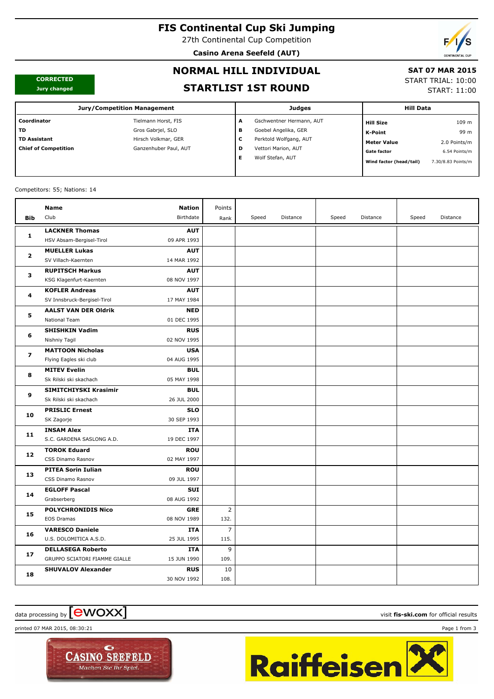# **FIS Continental Cup Ski Jumping**

27th Continental Cup Competition

**Casino Arena Seefeld (AUT)**



#### **CORRECTED Jury changed**

# **NORMAL HILL INDIVIDUAL**

### **SAT 07 MAR 2015**

START TRIAL: 10:00

START: 11:00

# **STARTLIST 1ST ROUND**

| <b>Jury/Competition Management</b> |                       |   | <b>Judges</b>            |                         | <b>Hill Data</b>   |  |  |
|------------------------------------|-----------------------|---|--------------------------|-------------------------|--------------------|--|--|
| Coordinator                        | Tielmann Horst, FIS   | A | Gschwentner Hermann, AUT | <b>Hill Size</b>        | 109 m              |  |  |
| <b>TD</b>                          | Gros Gabriel, SLO     | в | Goebel Angelika, GER     | K-Point                 | 99 m               |  |  |
| <b>TD Assistant</b>                | Hirsch Volkmar, GER   | c | Perktold Wolfgang, AUT   | <b>Meter Value</b>      | 2.0 Points/m       |  |  |
| <b>Chief of Competition</b>        | Ganzenhuber Paul, AUT | D | Vettori Marion, AUT      | <b>Gate factor</b>      | 6.54 Points/m      |  |  |
|                                    |                       | Е | Wolf Stefan, AUT         | Wind factor (head/tail) | 7.30/8.83 Points/m |  |  |
|                                    |                       |   |                          |                         |                    |  |  |

#### Competitors: 55; Nations: 14

|              | Name                          | <b>Nation</b> | Points         |       |          |       |          |       |          |
|--------------|-------------------------------|---------------|----------------|-------|----------|-------|----------|-------|----------|
| Bib          | Club                          | Birthdate     | Rank           | Speed | Distance | Speed | Distance | Speed | Distance |
| 1            | <b>LACKNER Thomas</b>         | <b>AUT</b>    |                |       |          |       |          |       |          |
|              | HSV Absam-Bergisel-Tirol      | 09 APR 1993   |                |       |          |       |          |       |          |
| $\mathbf{z}$ | <b>MUELLER Lukas</b>          | <b>AUT</b>    |                |       |          |       |          |       |          |
|              | SV Villach-Kaernten           | 14 MAR 1992   |                |       |          |       |          |       |          |
|              | <b>RUPITSCH Markus</b>        | <b>AUT</b>    |                |       |          |       |          |       |          |
| з            | KSG Klagenfurt-Kaernten       | 08 NOV 1997   |                |       |          |       |          |       |          |
| 4            | <b>KOFLER Andreas</b>         | <b>AUT</b>    |                |       |          |       |          |       |          |
|              | SV Innsbruck-Bergisel-Tirol   | 17 MAY 1984   |                |       |          |       |          |       |          |
| 5            | <b>AALST VAN DER Oldrik</b>   | <b>NED</b>    |                |       |          |       |          |       |          |
|              | National Team                 | 01 DEC 1995   |                |       |          |       |          |       |          |
| 6            | <b>SHISHKIN Vadim</b>         | <b>RUS</b>    |                |       |          |       |          |       |          |
|              | Nishniy Tagil                 | 02 NOV 1995   |                |       |          |       |          |       |          |
| 7            | <b>MATTOON Nicholas</b>       | <b>USA</b>    |                |       |          |       |          |       |          |
|              | Flying Eagles ski club        | 04 AUG 1995   |                |       |          |       |          |       |          |
| 8            | <b>MITEV Evelin</b>           | <b>BUL</b>    |                |       |          |       |          |       |          |
|              | Sk Rilski ski skachach        | 05 MAY 1998   |                |       |          |       |          |       |          |
| 9            | SIMITCHIYSKI Krasimir         | <b>BUL</b>    |                |       |          |       |          |       |          |
|              | Sk Rilski ski skachach        | 26 JUL 2000   |                |       |          |       |          |       |          |
| 10           | <b>PRISLIC Ernest</b>         | <b>SLO</b>    |                |       |          |       |          |       |          |
|              | SK Zagorje                    | 30 SEP 1993   |                |       |          |       |          |       |          |
| 11           | <b>INSAM Alex</b>             | <b>ITA</b>    |                |       |          |       |          |       |          |
|              | S.C. GARDENA SASLONG A.D.     | 19 DEC 1997   |                |       |          |       |          |       |          |
| 12           | <b>TOROK Eduard</b>           | <b>ROU</b>    |                |       |          |       |          |       |          |
|              | CSS Dinamo Rasnov             | 02 MAY 1997   |                |       |          |       |          |       |          |
| 13           | <b>PITEA Sorin Iulian</b>     | <b>ROU</b>    |                |       |          |       |          |       |          |
|              | CSS Dinamo Rasnov             | 09 JUL 1997   |                |       |          |       |          |       |          |
| 14           | <b>EGLOFF Pascal</b>          | SUI           |                |       |          |       |          |       |          |
|              | Grabserberg                   | 08 AUG 1992   |                |       |          |       |          |       |          |
| 15           | <b>POLYCHRONIDIS Nico</b>     | <b>GRE</b>    | $\overline{2}$ |       |          |       |          |       |          |
|              | EOS Dramas                    | 08 NOV 1989   | 132.           |       |          |       |          |       |          |
| 16           | <b>VARESCO Daniele</b>        | ITA           | $\overline{7}$ |       |          |       |          |       |          |
|              | U.S. DOLOMITICA A.S.D.        | 25 JUL 1995   | 115.           |       |          |       |          |       |          |
| 17           | <b>DELLASEGA Roberto</b>      | <b>ITA</b>    | 9              |       |          |       |          |       |          |
|              | GRUPPO SCIATORI FIAMME GIALLE | 15 JUN 1990   | 109.           |       |          |       |          |       |          |
| 18           | <b>SHUVALOV Alexander</b>     | <b>RUS</b>    | 10             |       |          |       |          |       |          |
|              |                               | 30 NOV 1992   | 108.           |       |          |       |          |       |          |

# data processing by **CWOXX** and  $\blacksquare$  and  $\blacksquare$  and  $\blacksquare$  and  $\blacksquare$  and  $\blacksquare$  and  $\blacksquare$  and  $\blacksquare$  and  $\blacksquare$  and  $\blacksquare$  and  $\blacksquare$  and  $\blacksquare$  and  $\blacksquare$  and  $\blacksquare$  and  $\blacksquare$  and  $\blacksquare$  and  $\blacksquare$  and  $\blacksquare$  and  $\blacks$

printed 07 MAR 2015, 08:30:21 Page 1 from 3



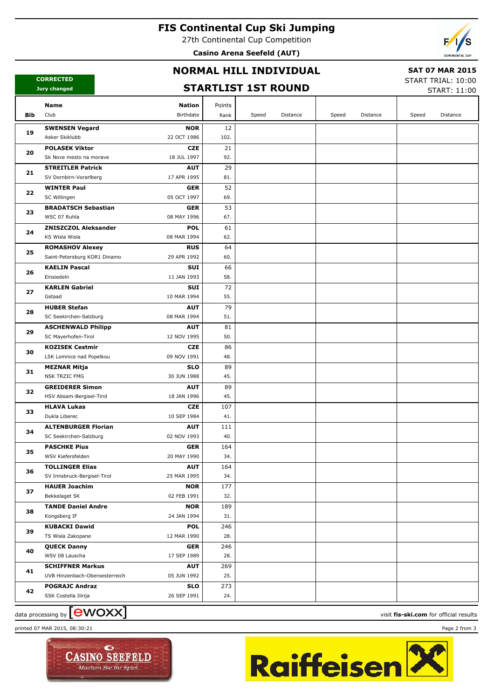# **FIS Continental Cup Ski Jumping**

27th Continental Cup Competition

**Casino Arena Seefeld (AUT)**



### **NORMAL HILL INDIVIDUAL**

### **SAT 07 MAR 2015**

**CORRECTED Jury changed**

### **STARTLIST 1ST ROUND**

START TRIAL: 10:00 START: 11:00

|     | Name<br><b>Nation</b>                                                 | Points     |       |          |       |          |       |          |
|-----|-----------------------------------------------------------------------|------------|-------|----------|-------|----------|-------|----------|
| Bib | Club<br>Birthdate                                                     | Rank       | Speed | Distance | Speed | Distance | Speed | Distance |
|     | <b>SWENSEN Vegard</b><br><b>NOR</b>                                   | 12         |       |          |       |          |       |          |
| 19  | Asker Skiklubb<br>22 OCT 1986                                         | 102.       |       |          |       |          |       |          |
| 20  | <b>POLASEK Viktor</b><br><b>CZE</b>                                   | 21         |       |          |       |          |       |          |
|     | 18 JUL 1997<br>Sk Nove mesto na morave                                | 92.        |       |          |       |          |       |          |
| 21  | <b>STREITLER Patrick</b><br><b>AUT</b>                                | 29         |       |          |       |          |       |          |
|     | SV Dornbirn-Vorarlberg<br>17 APR 1995                                 | 81.        |       |          |       |          |       |          |
| 22  | <b>WINTER Paul</b><br><b>GER</b>                                      | 52         |       |          |       |          |       |          |
|     | SC Willingen<br>05 OCT 1997                                           | 69.        |       |          |       |          |       |          |
| 23  | <b>BRADATSCH Sebastian</b><br><b>GER</b>                              | 53         |       |          |       |          |       |          |
|     | WSC 07 Ruhla<br>08 MAY 1996                                           | 67.        |       |          |       |          |       |          |
| 24  | <b>ZNISZCZOL Aleksander</b><br><b>POL</b>                             | 61         |       |          |       |          |       |          |
|     | KS Wisla Wisla<br>08 MAR 1994                                         | 62.        |       |          |       |          |       |          |
| 25  | <b>ROMASHOV Alexey</b><br><b>RUS</b>                                  | 64         |       |          |       |          |       |          |
|     | Saint-Petersburg KOR1 Dinamo<br>29 APR 1992                           | 60.        |       |          |       |          |       |          |
| 26  | <b>KAELIN Pascal</b><br>SUI                                           | 66         |       |          |       |          |       |          |
|     | Einsiedeln<br>11 JAN 1993                                             | 58.        |       |          |       |          |       |          |
| 27  | <b>KARLEN Gabriel</b><br>SUI                                          | 72         |       |          |       |          |       |          |
|     | Gstaad<br>10 MAR 1994                                                 | 55.        |       |          |       |          |       |          |
| 28  | <b>HUBER Stefan</b><br><b>AUT</b>                                     | 79         |       |          |       |          |       |          |
|     | SC Seekirchen-Salzburg<br>08 MAR 1994                                 | 51.        |       |          |       |          |       |          |
| 29  | <b>ASCHENWALD Philipp</b><br><b>AUT</b>                               | 81         |       |          |       |          |       |          |
|     | SC Mayerhofen-Tirol<br>12 NOV 1995                                    | 50.        |       |          |       |          |       |          |
| 30  | <b>KOZISEK Cestmir</b><br><b>CZE</b>                                  | 86         |       |          |       |          |       |          |
|     | LSK Lomnice nad Popelkou<br>09 NOV 1991                               | 48.        |       |          |       |          |       |          |
| 31  | <b>MEZNAR Mitja</b><br><b>SLO</b>                                     | 89         |       |          |       |          |       |          |
|     | <b>NSK TRZIC FMG</b><br>30 JUN 1988                                   | 45.        |       |          |       |          |       |          |
| 32  | <b>GREIDERER Simon</b><br><b>AUT</b>                                  | 89         |       |          |       |          |       |          |
|     | HSV Absam-Bergisel-Tirol<br>18 JAN 1996                               | 45.        |       |          |       |          |       |          |
| 33  | <b>HLAVA Lukas</b><br><b>CZE</b>                                      | 107        |       |          |       |          |       |          |
|     | Dukla Liberec<br>10 SEP 1984                                          | 41.        |       |          |       |          |       |          |
| 34  | <b>ALTENBURGER Florian</b><br><b>AUT</b>                              | 111        |       |          |       |          |       |          |
|     | SC Seekirchen-Salzburg<br>02 NOV 1993                                 | 40.        |       |          |       |          |       |          |
| 35  | <b>PASCHKE Pius</b><br><b>GER</b><br>20 MAY 1990<br>WSV Kiefersfelden | 164<br>34. |       |          |       |          |       |          |
|     | <b>TOLLINGER Elias</b><br><b>AUT</b>                                  | 164        |       |          |       |          |       |          |
| 36  | SV Innsbruck-Bergisel-Tirol<br>25 MAR 1995                            | 34.        |       |          |       |          |       |          |
|     | <b>HAUER Joachim</b><br><b>NOR</b>                                    | 177        |       |          |       |          |       |          |
| 37  | 02 FEB 1991<br>Bekkelaget SK                                          | 32.        |       |          |       |          |       |          |
|     | <b>TANDE Daniel Andre</b><br><b>NOR</b>                               | 189        |       |          |       |          |       |          |
| 38  | 24 JAN 1994<br>Kongsberg IF                                           | 31.        |       |          |       |          |       |          |
|     | <b>KUBACKI Dawid</b><br><b>POL</b>                                    | 246        |       |          |       |          |       |          |
| 39  | TS Wisla Zakopane<br>12 MAR 1990                                      | 28.        |       |          |       |          |       |          |
| 40  | <b>QUECK Danny</b><br><b>GER</b>                                      | 246        |       |          |       |          |       |          |
|     | WSV 08 Lauscha<br>17 SEP 1989                                         | 28.        |       |          |       |          |       |          |
|     | <b>SCHIFFNER Markus</b><br><b>AUT</b>                                 | 269        |       |          |       |          |       |          |
| 41  | UVB Hinzenbach-Oberoesterreich<br>05 JUN 1992                         | 25.        |       |          |       |          |       |          |
|     | <b>POGRAJC Andraz</b><br><b>SLO</b>                                   | 273        |       |          |       |          |       |          |
| 42  | 26 SEP 1991<br>SSK Costella Ilirija                                   | 24.        |       |          |       |          |       |          |
|     |                                                                       |            |       |          |       |          |       |          |

# data processing by **CWOXX** and  $\blacksquare$  and  $\blacksquare$  and  $\blacksquare$  and  $\blacksquare$  and  $\blacksquare$  and  $\blacksquare$  and  $\blacksquare$  and  $\blacksquare$  and  $\blacksquare$  and  $\blacksquare$  and  $\blacksquare$  and  $\blacksquare$  and  $\blacksquare$  and  $\blacksquare$  and  $\blacksquare$  and  $\blacksquare$  and  $\blacksquare$  and  $\blacks$

printed 07 MAR 2015, 08:30:21 Page 2 from 3





Raiffeisen